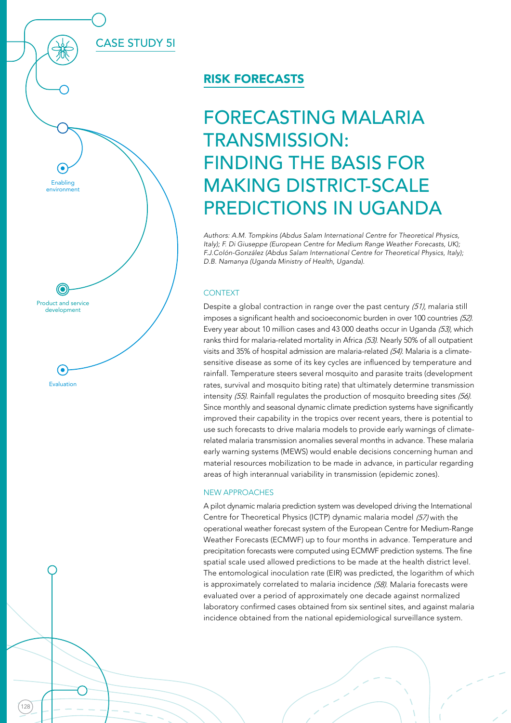CASE STUDY 5I

128

Product and service development

Evaluation

6)

Enabling environment

## RISK FORECASTS

# FORECASTING MALARIA TRANSMISSION: FINDING THE BASIS FOR MAKING DISTRICT-SCALE PREDICTIONS IN UGANDA

Authors: A.M. Tompkins (Abdus Salam International Centre for Theoretical Physics, Italy); F. Di Giuseppe (European Centre for Medium Range Weather Forecasts, UK); F.J.Colón-González (Abdus Salam International Centre for Theoretical Physics, Italy); D.B. Namanya (Uganda Ministry of Health, Uganda).

### **CONTEXT**

Despite a global contraction in range over the past century (51), malaria still imposes a significant health and socioeconomic burden in over 100 countries (52). Every year about 10 million cases and 43 000 deaths occur in Uganda (53), which ranks third for malaria-related mortality in Africa (53). Nearly 50% of all outpatient visits and 35% of hospital admission are malaria-related (54). Malaria is a climatesensitive disease as some of its key cycles are influenced by temperature and rainfall. Temperature steers several mosquito and parasite traits (development rates, survival and mosquito biting rate) that ultimately determine transmission intensity (55). Rainfall regulates the production of mosquito breeding sites (56). Since monthly and seasonal dynamic climate prediction systems have significantly improved their capability in the tropics over recent years, there is potential to use such forecasts to drive malaria models to provide early warnings of climaterelated malaria transmission anomalies several months in advance. These malaria early warning systems (MEWS) would enable decisions concerning human and material resources mobilization to be made in advance, in particular regarding areas of high interannual variability in transmission (epidemic zones).

#### NEW APPROACHES

A pilot dynamic malaria prediction system was developed driving the International Centre for Theoretical Physics (ICTP) dynamic malaria model (57) with the operational weather forecast system of the European Centre for Medium-Range Weather Forecasts (ECMWF) up to four months in advance. Temperature and precipitation forecasts were computed using ECMWF prediction systems. The fine spatial scale used allowed predictions to be made at the health district level. The entomological inoculation rate (EIR) was predicted, the logarithm of which is approximately correlated to malaria incidence (58). Malaria forecasts were evaluated over a period of approximately one decade against normalized laboratory confirmed cases obtained from six sentinel sites, and against malaria incidence obtained from the national epidemiological surveillance system.